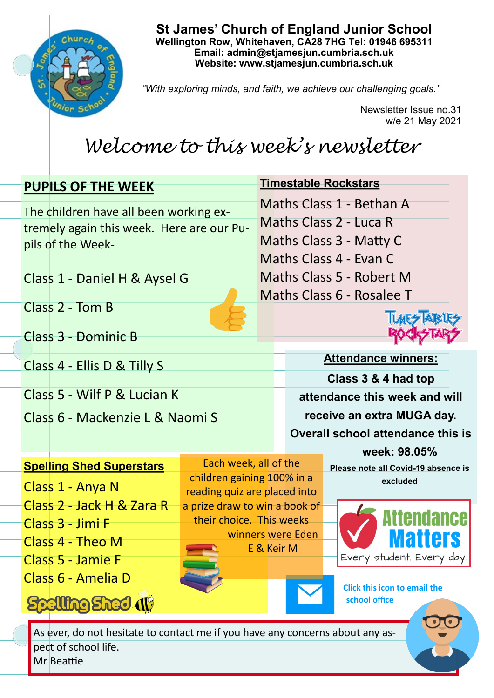

**St James' Church of England Junior School Wellington Row, Whitehaven, CA28 7HG Tel: 01946 695311 Email: admin@stjamesjun.cumbria.sch.uk Website: www.stjamesjun.cumbria.sch.uk**

*"With exploring minds, and faith, we achieve our challenging goals."*

**Timestable Rockstars**

Newsletter Issue no.31 w/e 21 May 2021

# *Welcome to this week's newsletter*

# **PUPILS OF THE WEEK** The children have all been working extremely again this week. Here are our Pu-

Maths Class 1 - Bethan A Maths Class 2 - Luca R Maths Class 3 - Matty C Maths Class 4 - Evan C Maths Class 5 - Robert M

Class 1 - Daniel H & Aysel G

Class 2 - Tom B

pils of the Week-

Class 3 - Dominic B

Class 4 - Ellis D & Tilly S

Class 5 - Wilf P & Lucian K

Class 6 - Mackenzie L & Naomi S



**Attendance winners: Class 3 & 4 had top attendance this week and will receive an extra MUGA day. Overall school attendance this is** 

## **Spelling Shed Superstars**

- Class 1 Anya N Class 2 - Jack H & Zara R Class 3 - Jimi F
- Class 4 Theo M
- Class 5 Jamie F

Class 6 - Amelia D

**Spelling Shed (1)** 

Each week, all of the children gaining 100% in a reading quiz are placed into a prize draw to win a book of their choice. This weeks winners were Eden E & Keir M

**week: 98.05% Please note all Covid-19 absence is** 

**excluded** 



**Click this icon to email the school office**

As ever, do not hesitate to contact me if you have any concerns about any aspect of school life.

Mr Beattie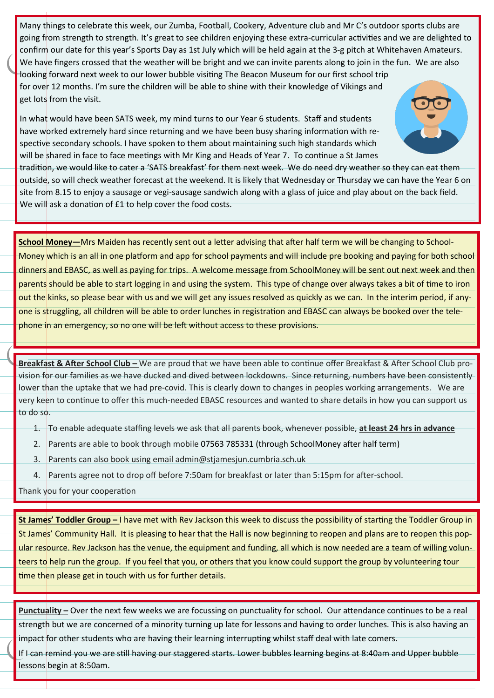Many things to celebrate this week, our Zumba, Football, Cookery, Adventure club and Mr C's outdoor sports clubs are going from strength to strength. It's great to see children enjoying these extra-curricular activities and we are delighted to confirm our date for this year's Sports Day as 1st July which will be held again at the 3-g pitch at Whitehaven Amateurs. We have fingers crossed that the weather will be bright and we can invite parents along to join in the fun. We are also looking forward next week to our lower bubble visiting The Beacon Museum for our first school trip for over 12 months. I'm sure the children will be able to shine with their knowledge of Vikings and get lots from the visit.

In what would have been SATS week, my mind turns to our Year 6 students. Staff and students have worked extremely hard since returning and we have been busy sharing information with respective secondary schools. I have spoken to them about maintaining such high standards which will be shared in face to face meetings with Mr King and Heads of Year 7. To continue a St James

tradition, we would like to cater a 'SATS breakfast' for them next week. We do need dry weather so they can eat them outside, so will check weather forecast at the weekend. It is likely that Wednesday or Thursday we can have the Year 6 on site from 8.15 to enjoy a sausage or vegi-sausage sandwich along with a glass of juice and play about on the back field. We will ask a donation of £1 to help cover the food costs.

**School Money—**Mrs Maiden has recently sent out a letter advising that after half term we will be changing to School-Money which is an all in one platform and app for school payments and will include pre booking and paying for both school dinners and EBASC, as well as paying for trips. A welcome message from SchoolMoney will be sent out next week and then parents should be able to start logging in and using the system. This type of change over always takes a bit of time to iron out the kinks, so please bear with us and we will get any issues resolved as quickly as we can. In the interim period, if anyone is struggling, all children will be able to order lunches in registration and EBASC can always be booked over the telephone in an emergency, so no one will be left without access to these provisions.

**Breakfast & After School Club –** We are proud that we have been able to continue offer Breakfast & After School Club provision for our families as we have ducked and dived between lockdowns. Since returning, numbers have been consistently lower than the uptake that we had pre-covid. This is clearly down to changes in peoples working arrangements. We are very keen to continue to offer this much-needed EBASC resources and wanted to share details in how you can support us to do so.

- 1. To enable adequate staffing levels we ask that all parents book, whenever possible, **at least 24 hrs in advance**
- 2. Parents are able to book through mobile 07563 785331 (through SchoolMoney after half term)
- 3. Parents can also book using email admin@stjamesjun.cumbria.sch.uk
- 4. Parents agree not to drop off before 7:50am for breakfast or later than 5:15pm for after-school.

Thank you for your cooperation

**St James' Toddler Group –** I have met with Rev Jackson this week to discuss the possibility of starting the Toddler Group in St James' Community Hall. It is pleasing to hear that the Hall is now beginning to reopen and plans are to reopen this popular resource. Rev Jackson has the venue, the equipment and funding, all which is now needed are a team of willing volunteers to help run the group. If you feel that you, or others that you know could support the group by volunteering tour time then please get in touch with us for further details.

**Punctuality –** Over the next few weeks we are focussing on punctuality for school. Our attendance continues to be a real strength but we are concerned of a minority turning up late for lessons and having to order lunches. This is also having an impact for other students who are having their learning interrupting whilst staff deal with late comers.

If I can remind you we are still having our staggered starts. Lower bubbles learning begins at 8:40am and Upper bubble lessons begin at 8:50am.